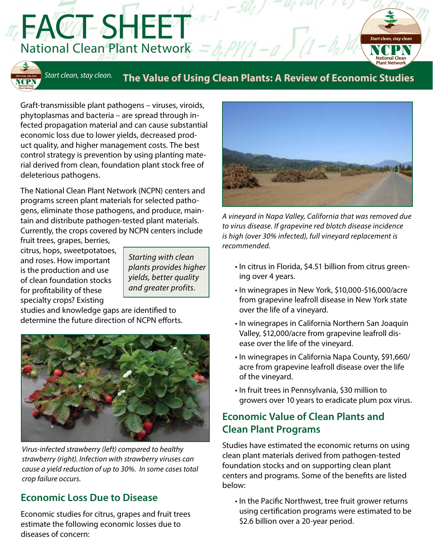FACT SHEET National Clean Plant Network  $=$  b, PY(1-a)



# *Start clean, stay clean.* **The Value of Using Clean Plants: A Review of Economic Studies**

Graft-transmissible plant pathogens – viruses, viroids, phytoplasmas and bacteria – are spread through infected propagation material and can cause substantial economic loss due to lower yields, decreased product quality, and higher management costs. The best control strategy is prevention by using planting material derived from clean, foundation plant stock free of deleterious pathogens.

The National Clean Plant Network (NCPN) centers and programs screen plant materials for selected pathogens, eliminate those pathogens, and produce, maintain and distribute pathogen-tested plant materials. Currently, the crops covered by NCPN centers include

fruit trees, grapes, berries, citrus, hops, sweetpotatoes, and roses. How important is the production and use of clean foundation stocks for profitability of these specialty crops? Existing

*Starting with clean plants provides higher yields, better quality and greater profits.*

studies and knowledge gaps are identified to determine the future direction of NCPN efforts.



*Virus-infected strawberry (left) compared to healthy strawberry (right). Infection with strawberry viruses can cause a yield reduction of up to 30%. In some cases total crop failure occurs.*

#### **Economic Loss Due to Disease**

Economic studies for citrus, grapes and fruit trees estimate the following economic losses due to diseases of concern:



*A vineyard in Napa Valley, California that was removed due to virus disease. If grapevine red blotch disease incidence is high (over 30% infected), full vineyard replacement is recommended.*

- In citrus in Florida, \$4.51 billion from citrus greening over 4 years.
- In winegrapes in New York, \$10,000-\$16,000/acre from grapevine leafroll disease in New York state over the life of a vineyard.
- In winegrapes in California Northern San Joaquin Valley, \$12,000/acre from grapevine leafroll disease over the life of the vineyard.
- In winegrapes in California Napa County, \$91,660/ acre from grapevine leafroll disease over the life of the vineyard.
- In fruit trees in Pennsylvania, \$30 million to growers over 10 years to eradicate plum pox virus.

### **Economic Value of Clean Plants and Clean Plant Programs**

Studies have estimated the economic returns on using clean plant materials derived from pathogen-tested foundation stocks and on supporting clean plant centers and programs. Some of the benefits are listed below:

• In the Pacific Northwest, tree fruit grower returns using certification programs were estimated to be \$2.6 billion over a 20-year period.